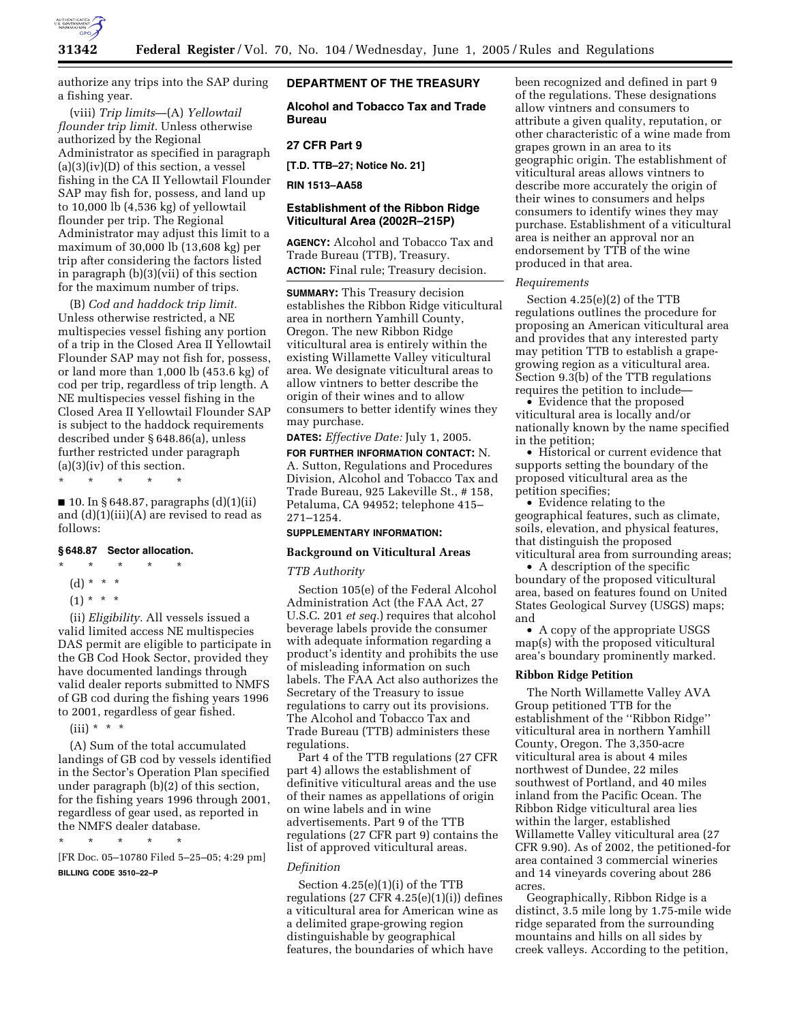

authorize any trips into the SAP during a fishing year.

(viii) *Trip limits*—(A) *Yellowtail flounder trip limit.* Unless otherwise authorized by the Regional Administrator as specified in paragraph  $(a)(3)(iv)(D)$  of this section, a vessel fishing in the CA II Yellowtail Flounder SAP may fish for, possess, and land up to 10,000 lb (4,536 kg) of yellowtail flounder per trip. The Regional Administrator may adjust this limit to a maximum of 30,000 lb (13,608 kg) per trip after considering the factors listed in paragraph (b)(3)(vii) of this section for the maximum number of trips.

(B) *Cod and haddock trip limit.* Unless otherwise restricted, a NE multispecies vessel fishing any portion of a trip in the Closed Area II Yellowtail Flounder SAP may not fish for, possess, or land more than 1,000 lb (453.6 kg) of cod per trip, regardless of trip length. A NE multispecies vessel fishing in the Closed Area II Yellowtail Flounder SAP is subject to the haddock requirements described under § 648.86(a), unless further restricted under paragraph  $(a)(3)(iv)$  of this section.

\* \* \* \* \*

■ 10. In § 648.87, paragraphs (d)(1)(ii) and  $(d)(1)(iii)(A)$  are revised to read as follows:

## **§ 648.87 Sector allocation.**

- \* \* \* \* \* (d) \* \* \*
	- $(1) * * * *$
- (ii) *Eligibility.* All vessels issued a valid limited access NE multispecies DAS permit are eligible to participate in the GB Cod Hook Sector, provided they have documented landings through valid dealer reports submitted to NMFS of GB cod during the fishing years 1996

to 2001, regardless of gear fished.

 $(iii) * * * *$ 

(A) Sum of the total accumulated landings of GB cod by vessels identified in the Sector's Operation Plan specified under paragraph (b)(2) of this section, for the fishing years 1996 through 2001, regardless of gear used, as reported in the NMFS dealer database.

\* \* \* \* \*

[FR Doc. 05–10780 Filed 5–25–05; 4:29 pm] **BILLING CODE 3510–22–P**

## **DEPARTMENT OF THE TREASURY**

**Alcohol and Tobacco Tax and Trade Bureau** 

## **27 CFR Part 9**

**[T.D. TTB–27; Notice No. 21]** 

**RIN 1513–AA58** 

# **Establishment of the Ribbon Ridge Viticultural Area (2002R–215P)**

**AGENCY:** Alcohol and Tobacco Tax and Trade Bureau (TTB), Treasury. **ACTION:** Final rule; Treasury decision.

**SUMMARY:** This Treasury decision establishes the Ribbon Ridge viticultural area in northern Yamhill County, Oregon. The new Ribbon Ridge viticultural area is entirely within the existing Willamette Valley viticultural area. We designate viticultural areas to allow vintners to better describe the origin of their wines and to allow consumers to better identify wines they may purchase.

**DATES:** *Effective Date:* July 1, 2005.

**FOR FURTHER INFORMATION CONTACT:** N. A. Sutton, Regulations and Procedures Division, Alcohol and Tobacco Tax and Trade Bureau, 925 Lakeville St., # 158, Petaluma, CA 94952; telephone 415– 271–1254.

## **SUPPLEMENTARY INFORMATION:**

# **Background on Viticultural Areas**

### *TTB Authority*

Section 105(e) of the Federal Alcohol Administration Act (the FAA Act, 27 U.S.C. 201 *et seq.*) requires that alcohol beverage labels provide the consumer with adequate information regarding a product's identity and prohibits the use of misleading information on such labels. The FAA Act also authorizes the Secretary of the Treasury to issue regulations to carry out its provisions. The Alcohol and Tobacco Tax and Trade Bureau (TTB) administers these regulations.

Part 4 of the TTB regulations (27 CFR part 4) allows the establishment of definitive viticultural areas and the use of their names as appellations of origin on wine labels and in wine advertisements. Part 9 of the TTB regulations (27 CFR part 9) contains the list of approved viticultural areas.

### *Definition*

Section 4.25(e)(1)(i) of the TTB regulations  $(27 \text{ CFR } 4.25(e)(1)(i))$  defines a viticultural area for American wine as a delimited grape-growing region distinguishable by geographical features, the boundaries of which have

been recognized and defined in part 9 of the regulations. These designations allow vintners and consumers to attribute a given quality, reputation, or other characteristic of a wine made from grapes grown in an area to its geographic origin. The establishment of viticultural areas allows vintners to describe more accurately the origin of their wines to consumers and helps consumers to identify wines they may purchase. Establishment of a viticultural area is neither an approval nor an endorsement by TTB of the wine produced in that area.

#### *Requirements*

Section 4.25(e)(2) of the TTB regulations outlines the procedure for proposing an American viticultural area and provides that any interested party may petition TTB to establish a grapegrowing region as a viticultural area. Section 9.3(b) of the TTB regulations requires the petition to include—

• Evidence that the proposed viticultural area is locally and/or nationally known by the name specified in the petition;

• Historical or current evidence that supports setting the boundary of the proposed viticultural area as the petition specifies;

• Evidence relating to the geographical features, such as climate, soils, elevation, and physical features, that distinguish the proposed viticultural area from surrounding areas;

• A description of the specific boundary of the proposed viticultural area, based on features found on United States Geological Survey (USGS) maps; and

• A copy of the appropriate USGS map(s) with the proposed viticultural area's boundary prominently marked.

### **Ribbon Ridge Petition**

The North Willamette Valley AVA Group petitioned TTB for the establishment of the ''Ribbon Ridge'' viticultural area in northern Yamhill County, Oregon. The 3,350-acre viticultural area is about 4 miles northwest of Dundee, 22 miles southwest of Portland, and 40 miles inland from the Pacific Ocean. The Ribbon Ridge viticultural area lies within the larger, established Willamette Valley viticultural area (27 CFR 9.90). As of 2002, the petitioned-for area contained 3 commercial wineries and 14 vineyards covering about 286 acres.

Geographically, Ribbon Ridge is a distinct, 3.5 mile long by 1.75-mile wide ridge separated from the surrounding mountains and hills on all sides by creek valleys. According to the petition,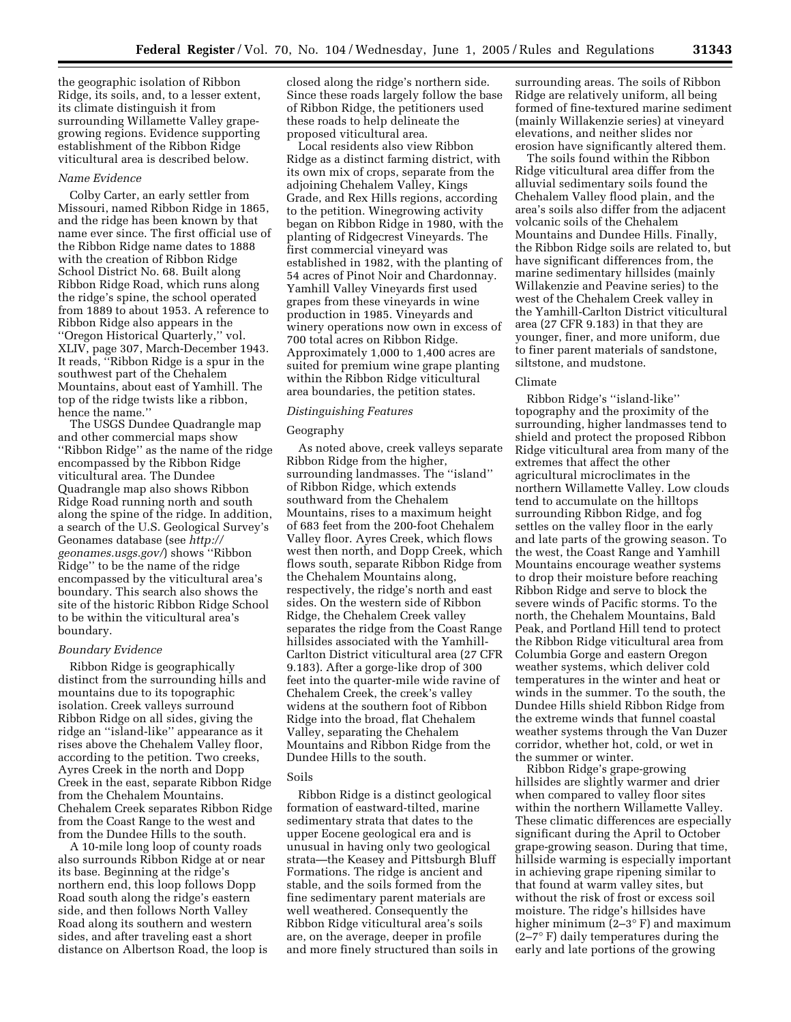the geographic isolation of Ribbon Ridge, its soils, and, to a lesser extent, its climate distinguish it from surrounding Willamette Valley grapegrowing regions. Evidence supporting establishment of the Ribbon Ridge viticultural area is described below.

## *Name Evidence*

Colby Carter, an early settler from Missouri, named Ribbon Ridge in 1865, and the ridge has been known by that name ever since. The first official use of the Ribbon Ridge name dates to 1888 with the creation of Ribbon Ridge School District No. 68. Built along Ribbon Ridge Road, which runs along the ridge's spine, the school operated from 1889 to about 1953. A reference to Ribbon Ridge also appears in the ''Oregon Historical Quarterly,'' vol. XLIV, page 307, March-December 1943. It reads, ''Ribbon Ridge is a spur in the southwest part of the Chehalem Mountains, about east of Yamhill. The top of the ridge twists like a ribbon, hence the name.''

The USGS Dundee Quadrangle map and other commercial maps show ''Ribbon Ridge'' as the name of the ridge encompassed by the Ribbon Ridge viticultural area. The Dundee Quadrangle map also shows Ribbon Ridge Road running north and south along the spine of the ridge. In addition, a search of the U.S. Geological Survey's Geonames database (see *http:// geonames.usgs.gov/*) shows ''Ribbon Ridge'' to be the name of the ridge encompassed by the viticultural area's boundary. This search also shows the site of the historic Ribbon Ridge School to be within the viticultural area's boundary.

### *Boundary Evidence*

Ribbon Ridge is geographically distinct from the surrounding hills and mountains due to its topographic isolation. Creek valleys surround Ribbon Ridge on all sides, giving the ridge an ''island-like'' appearance as it rises above the Chehalem Valley floor, according to the petition. Two creeks, Ayres Creek in the north and Dopp Creek in the east, separate Ribbon Ridge from the Chehalem Mountains. Chehalem Creek separates Ribbon Ridge from the Coast Range to the west and from the Dundee Hills to the south.

A 10-mile long loop of county roads also surrounds Ribbon Ridge at or near its base. Beginning at the ridge's northern end, this loop follows Dopp Road south along the ridge's eastern side, and then follows North Valley Road along its southern and western sides, and after traveling east a short distance on Albertson Road, the loop is

closed along the ridge's northern side. Since these roads largely follow the base of Ribbon Ridge, the petitioners used these roads to help delineate the proposed viticultural area.

Local residents also view Ribbon Ridge as a distinct farming district, with its own mix of crops, separate from the adjoining Chehalem Valley, Kings Grade, and Rex Hills regions, according to the petition. Winegrowing activity began on Ribbon Ridge in 1980, with the planting of Ridgecrest Vineyards. The first commercial vineyard was established in 1982, with the planting of 54 acres of Pinot Noir and Chardonnay. Yamhill Valley Vineyards first used grapes from these vineyards in wine production in 1985. Vineyards and winery operations now own in excess of 700 total acres on Ribbon Ridge. Approximately 1,000 to 1,400 acres are suited for premium wine grape planting within the Ribbon Ridge viticultural area boundaries, the petition states.

## *Distinguishing Features*

#### Geography

As noted above, creek valleys separate Ribbon Ridge from the higher, surrounding landmasses. The ''island'' of Ribbon Ridge, which extends southward from the Chehalem Mountains, rises to a maximum height of 683 feet from the 200-foot Chehalem Valley floor. Ayres Creek, which flows west then north, and Dopp Creek, which flows south, separate Ribbon Ridge from the Chehalem Mountains along, respectively, the ridge's north and east sides. On the western side of Ribbon Ridge, the Chehalem Creek valley separates the ridge from the Coast Range hillsides associated with the Yamhill-Carlton District viticultural area (27 CFR 9.183). After a gorge-like drop of 300 feet into the quarter-mile wide ravine of Chehalem Creek, the creek's valley widens at the southern foot of Ribbon Ridge into the broad, flat Chehalem Valley, separating the Chehalem Mountains and Ribbon Ridge from the Dundee Hills to the south.

#### Soils

Ribbon Ridge is a distinct geological formation of eastward-tilted, marine sedimentary strata that dates to the upper Eocene geological era and is unusual in having only two geological strata—the Keasey and Pittsburgh Bluff Formations. The ridge is ancient and stable, and the soils formed from the fine sedimentary parent materials are well weathered. Consequently the Ribbon Ridge viticultural area's soils are, on the average, deeper in profile and more finely structured than soils in

surrounding areas. The soils of Ribbon Ridge are relatively uniform, all being formed of fine-textured marine sediment (mainly Willakenzie series) at vineyard elevations, and neither slides nor erosion have significantly altered them.

The soils found within the Ribbon Ridge viticultural area differ from the alluvial sedimentary soils found the Chehalem Valley flood plain, and the area's soils also differ from the adjacent volcanic soils of the Chehalem Mountains and Dundee Hills. Finally, the Ribbon Ridge soils are related to, but have significant differences from, the marine sedimentary hillsides (mainly Willakenzie and Peavine series) to the west of the Chehalem Creek valley in the Yamhill-Carlton District viticultural area (27 CFR 9.183) in that they are younger, finer, and more uniform, due to finer parent materials of sandstone, siltstone, and mudstone.

#### Climate

Ribbon Ridge's ''island-like'' topography and the proximity of the surrounding, higher landmasses tend to shield and protect the proposed Ribbon Ridge viticultural area from many of the extremes that affect the other agricultural microclimates in the northern Willamette Valley. Low clouds tend to accumulate on the hilltops surrounding Ribbon Ridge, and fog settles on the valley floor in the early and late parts of the growing season. To the west, the Coast Range and Yamhill Mountains encourage weather systems to drop their moisture before reaching Ribbon Ridge and serve to block the severe winds of Pacific storms. To the north, the Chehalem Mountains, Bald Peak, and Portland Hill tend to protect the Ribbon Ridge viticultural area from Columbia Gorge and eastern Oregon weather systems, which deliver cold temperatures in the winter and heat or winds in the summer. To the south, the Dundee Hills shield Ribbon Ridge from the extreme winds that funnel coastal weather systems through the Van Duzer corridor, whether hot, cold, or wet in the summer or winter.

Ribbon Ridge's grape-growing hillsides are slightly warmer and drier when compared to valley floor sites within the northern Willamette Valley. These climatic differences are especially significant during the April to October grape-growing season. During that time, hillside warming is especially important in achieving grape ripening similar to that found at warm valley sites, but without the risk of frost or excess soil moisture. The ridge's hillsides have higher minimum  $(2-3° F)$  and maximum (2–7° F) daily temperatures during the early and late portions of the growing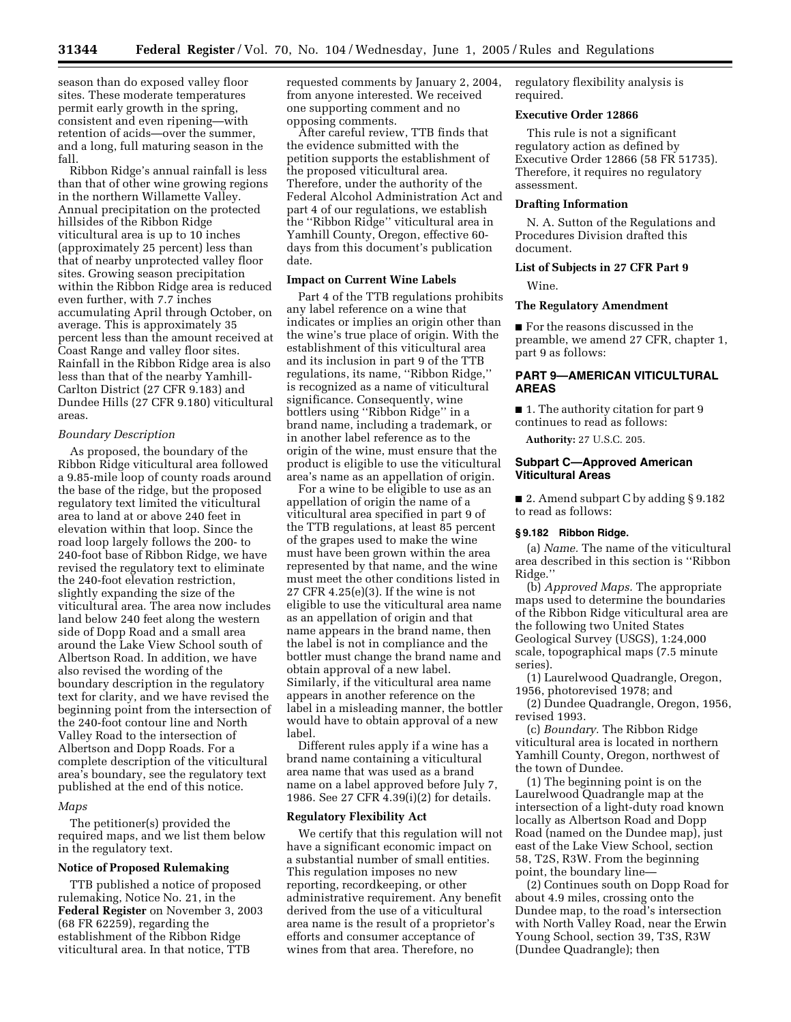season than do exposed valley floor sites. These moderate temperatures permit early growth in the spring, consistent and even ripening—with retention of acids—over the summer, and a long, full maturing season in the fall.

Ribbon Ridge's annual rainfall is less than that of other wine growing regions in the northern Willamette Valley. Annual precipitation on the protected hillsides of the Ribbon Ridge viticultural area is up to 10 inches (approximately 25 percent) less than that of nearby unprotected valley floor sites. Growing season precipitation within the Ribbon Ridge area is reduced even further, with 7.7 inches accumulating April through October, on average. This is approximately 35 percent less than the amount received at Coast Range and valley floor sites. Rainfall in the Ribbon Ridge area is also less than that of the nearby Yamhill-Carlton District (27 CFR 9.183) and Dundee Hills (27 CFR 9.180) viticultural areas.

#### *Boundary Description*

As proposed, the boundary of the Ribbon Ridge viticultural area followed a 9.85-mile loop of county roads around the base of the ridge, but the proposed regulatory text limited the viticultural area to land at or above 240 feet in elevation within that loop. Since the road loop largely follows the 200- to 240-foot base of Ribbon Ridge, we have revised the regulatory text to eliminate the 240-foot elevation restriction, slightly expanding the size of the viticultural area. The area now includes land below 240 feet along the western side of Dopp Road and a small area around the Lake View School south of Albertson Road. In addition, we have also revised the wording of the boundary description in the regulatory text for clarity, and we have revised the beginning point from the intersection of the 240-foot contour line and North Valley Road to the intersection of Albertson and Dopp Roads. For a complete description of the viticultural area's boundary, see the regulatory text published at the end of this notice.

### *Maps*

The petitioner(s) provided the required maps, and we list them below in the regulatory text.

## **Notice of Proposed Rulemaking**

TTB published a notice of proposed rulemaking, Notice No. 21, in the **Federal Register** on November 3, 2003 (68 FR 62259), regarding the establishment of the Ribbon Ridge viticultural area. In that notice, TTB

requested comments by January 2, 2004, from anyone interested. We received one supporting comment and no opposing comments.

After careful review, TTB finds that the evidence submitted with the petition supports the establishment of the proposed viticultural area. Therefore, under the authority of the Federal Alcohol Administration Act and part 4 of our regulations, we establish the ''Ribbon Ridge'' viticultural area in Yamhill County, Oregon, effective 60 days from this document's publication date.

## **Impact on Current Wine Labels**

Part 4 of the TTB regulations prohibits any label reference on a wine that indicates or implies an origin other than the wine's true place of origin. With the establishment of this viticultural area and its inclusion in part 9 of the TTB regulations, its name, ''Ribbon Ridge,'' is recognized as a name of viticultural significance. Consequently, wine bottlers using ''Ribbon Ridge'' in a brand name, including a trademark, or in another label reference as to the origin of the wine, must ensure that the product is eligible to use the viticultural area's name as an appellation of origin.

For a wine to be eligible to use as an appellation of origin the name of a viticultural area specified in part 9 of the TTB regulations, at least 85 percent of the grapes used to make the wine must have been grown within the area represented by that name, and the wine must meet the other conditions listed in 27 CFR 4.25(e)(3). If the wine is not eligible to use the viticultural area name as an appellation of origin and that name appears in the brand name, then the label is not in compliance and the bottler must change the brand name and obtain approval of a new label. Similarly, if the viticultural area name appears in another reference on the label in a misleading manner, the bottler would have to obtain approval of a new label.

Different rules apply if a wine has a brand name containing a viticultural area name that was used as a brand name on a label approved before July 7, 1986. See 27 CFR 4.39(i)(2) for details.

## **Regulatory Flexibility Act**

We certify that this regulation will not have a significant economic impact on a substantial number of small entities. This regulation imposes no new reporting, recordkeeping, or other administrative requirement. Any benefit derived from the use of a viticultural area name is the result of a proprietor's efforts and consumer acceptance of wines from that area. Therefore, no

regulatory flexibility analysis is required.

### **Executive Order 12866**

This rule is not a significant regulatory action as defined by Executive Order 12866 (58 FR 51735). Therefore, it requires no regulatory assessment.

### **Drafting Information**

N. A. Sutton of the Regulations and Procedures Division drafted this document.

# **List of Subjects in 27 CFR Part 9**

Wine.

### **The Regulatory Amendment**

■ For the reasons discussed in the preamble, we amend 27 CFR, chapter 1, part 9 as follows:

# **PART 9—AMERICAN VITICULTURAL AREAS**

■ 1. The authority citation for part 9 continues to read as follows:

**Authority:** 27 U.S.C. 205.

## **Subpart C—Approved American Viticultural Areas**

■ 2. Amend subpart C by adding § 9.182 to read as follows:

## **§ 9.182 Ribbon Ridge.**

(a) *Name.* The name of the viticultural area described in this section is ''Ribbon Ridge.''

(b) *Approved Maps.* The appropriate maps used to determine the boundaries of the Ribbon Ridge viticultural area are the following two United States Geological Survey (USGS), 1:24,000 scale, topographical maps (7.5 minute series).

(1) Laurelwood Quadrangle, Oregon, 1956, photorevised 1978; and

(2) Dundee Quadrangle, Oregon, 1956, revised 1993.

(c) *Boundary.* The Ribbon Ridge viticultural area is located in northern Yamhill County, Oregon, northwest of the town of Dundee.

(1) The beginning point is on the Laurelwood Quadrangle map at the intersection of a light-duty road known locally as Albertson Road and Dopp Road (named on the Dundee map), just east of the Lake View School, section 58, T2S, R3W. From the beginning point, the boundary line—

(2) Continues south on Dopp Road for about 4.9 miles, crossing onto the Dundee map, to the road's intersection with North Valley Road, near the Erwin Young School, section 39, T3S, R3W (Dundee Quadrangle); then